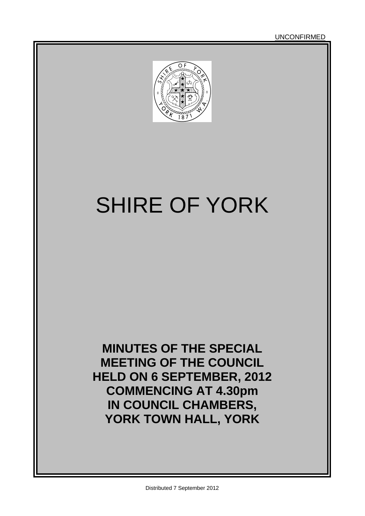UNCONFIRMED



# SHIRE OF YORK

**MINUTES OF THE SPECIAL MEETING OF THE COUNCIL HELD ON 6 SEPTEMBER, 2012 COMMENCING AT 4.30pm IN COUNCIL CHAMBERS, YORK TOWN HALL, YORK**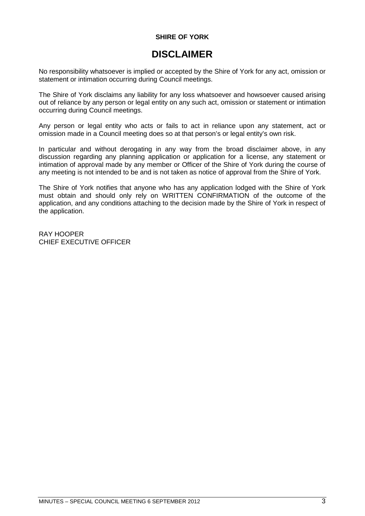### **SHIRE OF YORK**

### **DISCLAIMER**

No responsibility whatsoever is implied or accepted by the Shire of York for any act, omission or statement or intimation occurring during Council meetings.

The Shire of York disclaims any liability for any loss whatsoever and howsoever caused arising out of reliance by any person or legal entity on any such act, omission or statement or intimation occurring during Council meetings.

Any person or legal entity who acts or fails to act in reliance upon any statement, act or omission made in a Council meeting does so at that person's or legal entity's own risk.

In particular and without derogating in any way from the broad disclaimer above, in any discussion regarding any planning application or application for a license, any statement or intimation of approval made by any member or Officer of the Shire of York during the course of any meeting is not intended to be and is not taken as notice of approval from the Shire of York.

The Shire of York notifies that anyone who has any application lodged with the Shire of York must obtain and should only rely on WRITTEN CONFIRMATION of the outcome of the application, and any conditions attaching to the decision made by the Shire of York in respect of the application.

RAY HOOPER CHIEF EXECUTIVE OFFICER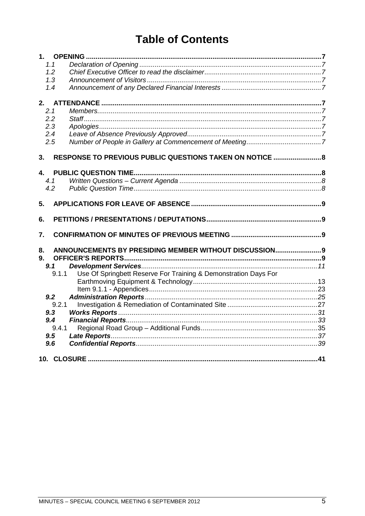# **Table of Contents**

| $1_{-}$      |                                                                 |  |
|--------------|-----------------------------------------------------------------|--|
| 1.1          |                                                                 |  |
| 1.2          |                                                                 |  |
| 1.3          |                                                                 |  |
| 1.4          |                                                                 |  |
|              |                                                                 |  |
| 2.           |                                                                 |  |
| 2.1          |                                                                 |  |
| 2.2          |                                                                 |  |
| 2.3          |                                                                 |  |
| 2.4          |                                                                 |  |
| 2.5          |                                                                 |  |
| 3.           | RESPONSE TO PREVIOUS PUBLIC QUESTIONS TAKEN ON NOTICE  8        |  |
|              |                                                                 |  |
| $\mathbf{A}$ |                                                                 |  |
| 4.1          |                                                                 |  |
| 4.2          |                                                                 |  |
|              |                                                                 |  |
| 5.           |                                                                 |  |
|              |                                                                 |  |
| 6.           |                                                                 |  |
| 7.           |                                                                 |  |
|              |                                                                 |  |
| 8.           | ANNOUNCEMENTS BY PRESIDING MEMBER WITHOUT DISCUSSION 9          |  |
| 9.           |                                                                 |  |
| 9.1          |                                                                 |  |
| 9.1.1        | Use Of Springbett Reserve For Training & Demonstration Days For |  |
|              |                                                                 |  |
|              |                                                                 |  |
| 9.2          |                                                                 |  |
| 9.2.1        |                                                                 |  |
| 9.3          |                                                                 |  |
| 9.4          |                                                                 |  |
| 9.4.1        |                                                                 |  |
| 9.5          |                                                                 |  |
| 9.6          |                                                                 |  |
|              |                                                                 |  |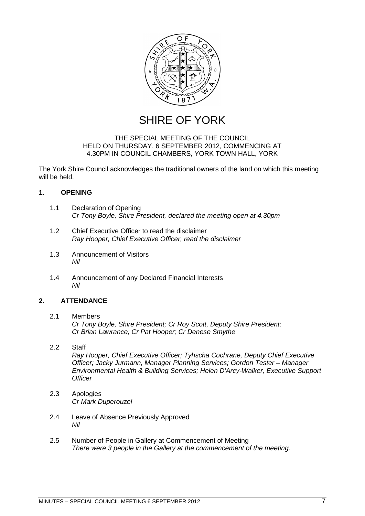

SHIRE OF YORK

### THE SPECIAL MEETING OF THE COUNCIL HELD ON THURSDAY, 6 SEPTEMBER 2012, COMMENCING AT 4.30PM IN COUNCIL CHAMBERS, YORK TOWN HALL, YORK

The York Shire Council acknowledges the traditional owners of the land on which this meeting will be held.

### <span id="page-6-0"></span>**1. OPENING**

- <span id="page-6-1"></span>1.1 Declaration of Opening *Cr Tony Boyle, Shire President, declared the meeting open at 4.30pm*
- <span id="page-6-2"></span>1.2 Chief Executive Officer to read the disclaimer *Ray Hooper, Chief Executive Officer, read the disclaimer*
- <span id="page-6-3"></span>1.3 Announcement of Visitors *Nil*
- <span id="page-6-4"></span>1.4 Announcement of any Declared Financial Interests *Nil*

### <span id="page-6-5"></span>**2. ATTENDANCE**

### <span id="page-6-6"></span>2.1 Members

*Cr Tony Boyle, Shire President; Cr Roy Scott, Deputy Shire President; Cr Brian Lawrance; Cr Pat Hooper; Cr Denese Smythe*

### <span id="page-6-7"></span>2.2 Staff

*Ray Hooper, Chief Executive Officer; Tyhscha Cochrane, Deputy Chief Executive Officer; Jacky Jurmann, Manager Planning Services; Gordon Tester – Manager Environmental Health & Building Services; Helen D'Arcy-Walker, Executive Support Officer*

- <span id="page-6-8"></span>2.3 Apologies *Cr Mark Duperouzel*
- <span id="page-6-9"></span>2.4 Leave of Absence Previously Approved *Nil*
- <span id="page-6-10"></span>2.5 Number of People in Gallery at Commencement of Meeting *There were 3 people in the Gallery at the commencement of the meeting.*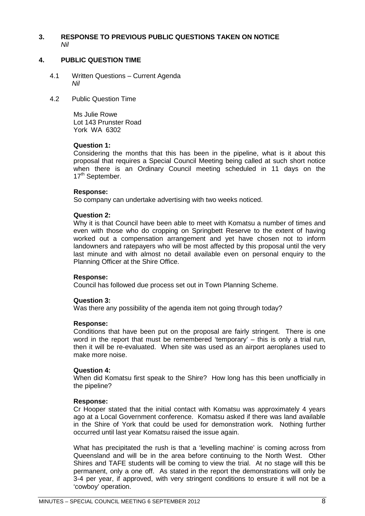### <span id="page-7-0"></span>**3. RESPONSE TO PREVIOUS PUBLIC QUESTIONS TAKEN ON NOTICE** *Nil*

### <span id="page-7-1"></span>**4. PUBLIC QUESTION TIME**

- <span id="page-7-2"></span>4.1 Written Questions – Current Agenda *Nil*
- <span id="page-7-3"></span>4.2 Public Question Time

Ms Julie Rowe Lot 143 Prunster Road York WA 6302

### **Question 1:**

Considering the months that this has been in the pipeline, what is it about this proposal that requires a Special Council Meeting being called at such short notice when there is an Ordinary Council meeting scheduled in 11 days on the 17<sup>th</sup> September.

### **Response:**

So company can undertake advertising with two weeks noticed.

### **Question 2:**

Why it is that Council have been able to meet with Komatsu a number of times and even with those who do cropping on Springbett Reserve to the extent of having worked out a compensation arrangement and yet have chosen not to inform landowners and ratepayers who will be most affected by this proposal until the very last minute and with almost no detail available even on personal enquiry to the Planning Officer at the Shire Office.

### **Response:**

Council has followed due process set out in Town Planning Scheme.

### **Question 3:**

Was there any possibility of the agenda item not going through today?

### **Response:**

Conditions that have been put on the proposal are fairly stringent. There is one word in the report that must be remembered 'temporary' – this is only a trial run, then it will be re-evaluated. When site was used as an airport aeroplanes used to make more noise.

### **Question 4:**

When did Komatsu first speak to the Shire? How long has this been unofficially in the pipeline?

### **Response:**

Cr Hooper stated that the initial contact with Komatsu was approximately 4 years ago at a Local Government conference. Komatsu asked if there was land available in the Shire of York that could be used for demonstration work. Nothing further occurred until last year Komatsu raised the issue again.

What has precipitated the rush is that a 'levelling machine' is coming across from Queensland and will be in the area before continuing to the North West. Other Shires and TAFE students will be coming to view the trial. At no stage will this be permanent, only a one off. As stated in the report the demonstrations will only be 3-4 per year, if approved, with very stringent conditions to ensure it will not be a 'cowboy' operation.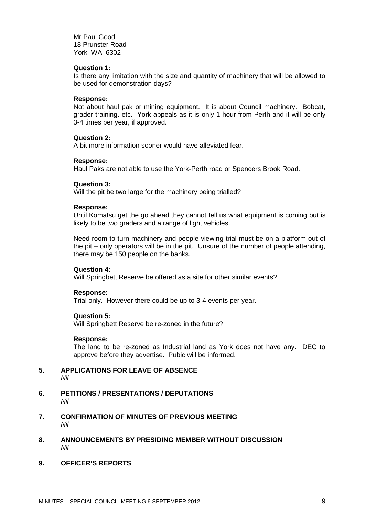Mr Paul Good 18 Prunster Road York WA 6302

### **Question 1:**

Is there any limitation with the size and quantity of machinery that will be allowed to be used for demonstration days?

### **Response:**

Not about haul pak or mining equipment. It is about Council machinery. Bobcat, grader training. etc. York appeals as it is only 1 hour from Perth and it will be only 3-4 times per year, if approved.

### **Question 2:**

A bit more information sooner would have alleviated fear.

### **Response:**

Haul Paks are not able to use the York-Perth road or Spencers Brook Road.

### **Question 3:**

Will the pit be two large for the machinery being trialled?

### **Response:**

Until Komatsu get the go ahead they cannot tell us what equipment is coming but is likely to be two graders and a range of light vehicles.

Need room to turn machinery and people viewing trial must be on a platform out of the pit – only operators will be in the pit. Unsure of the number of people attending, there may be 150 people on the banks.

### **Question 4:**

Will Springbett Reserve be offered as a site for other similar events?

### **Response:**

Trial only. However there could be up to 3-4 events per year.

### **Question 5:**

Will Springbett Reserve be re-zoned in the future?

### **Response:**

The land to be re-zoned as Industrial land as York does not have any. DEC to approve before they advertise. Pubic will be informed.

- <span id="page-8-0"></span>**5. APPLICATIONS FOR LEAVE OF ABSENCE**  *Nil*
- <span id="page-8-1"></span>**6. PETITIONS / PRESENTATIONS / DEPUTATIONS** *Nil*
- <span id="page-8-2"></span>**7. CONFIRMATION OF MINUTES OF PREVIOUS MEETING** *Nil*
- <span id="page-8-3"></span>**8. ANNOUNCEMENTS BY PRESIDING MEMBER WITHOUT DISCUSSION** *Nil*
- <span id="page-8-4"></span>**9. OFFICER'S REPORTS**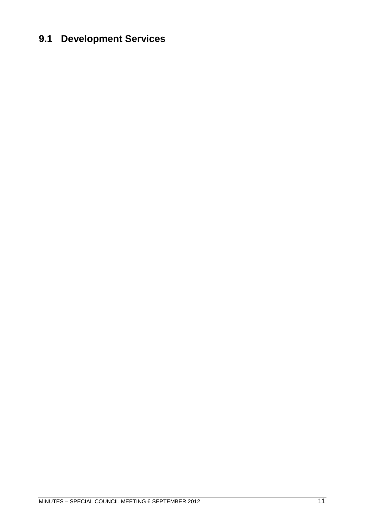# <span id="page-10-0"></span>**9.1 Development Services**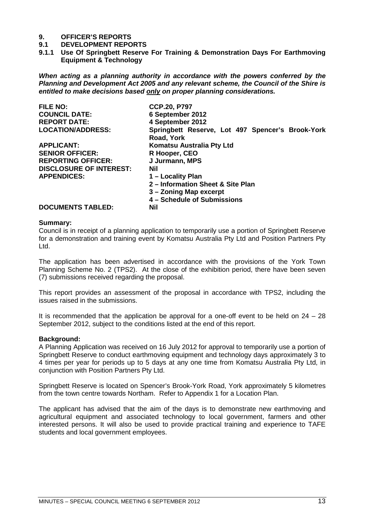# **9. OFFICER'S REPORTS**

- **9.1 DEVELOPMENT REPORTS**
- <span id="page-12-0"></span>**9.1.1 Use Of Springbett Reserve For Training & Demonstration Days For Earthmoving Equipment & Technology**

*When acting as a planning authority in accordance with the powers conferred by the Planning and Development Act 2005 and any relevant scheme, the Council of the Shire is entitled to make decisions based only on proper planning considerations.*

| <b>FILE NO:</b>                | <b>CCP.20, P797</b>                                            |
|--------------------------------|----------------------------------------------------------------|
| <b>COUNCIL DATE:</b>           | 6 September 2012                                               |
| <b>REPORT DATE:</b>            | 4 September 2012                                               |
| <b>LOCATION/ADDRESS:</b>       | Springbett Reserve, Lot 497 Spencer's Brook-York<br>Road, York |
| <b>APPLICANT:</b>              | Komatsu Australia Pty Ltd                                      |
| <b>SENIOR OFFICER:</b>         | R Hooper, CEO                                                  |
| <b>REPORTING OFFICER:</b>      | J Jurmann, MPS                                                 |
| <b>DISCLOSURE OF INTEREST:</b> | <b>Nil</b>                                                     |
| <b>APPENDICES:</b>             | 1 – Locality Plan                                              |
|                                | 2 - Information Sheet & Site Plan                              |
|                                | 3 - Zoning Map excerpt                                         |
|                                | 4 - Schedule of Submissions                                    |
| <b>DOCUMENTS TABLED:</b>       | <b>Nil</b>                                                     |

### **Summary:**

Council is in receipt of a planning application to temporarily use a portion of Springbett Reserve for a demonstration and training event by Komatsu Australia Pty Ltd and Position Partners Pty Ltd.

The application has been advertised in accordance with the provisions of the York Town Planning Scheme No. 2 (TPS2). At the close of the exhibition period, there have been seven (7) submissions received regarding the proposal.

This report provides an assessment of the proposal in accordance with TPS2, including the issues raised in the submissions.

It is recommended that the application be approval for a one-off event to be held on 24 – 28 September 2012, subject to the conditions listed at the end of this report.

### **Background:**

A Planning Application was received on 16 July 2012 for approval to temporarily use a portion of Springbett Reserve to conduct earthmoving equipment and technology days approximately 3 to 4 times per year for periods up to 5 days at any one time from Komatsu Australia Pty Ltd, in conjunction with Position Partners Pty Ltd.

Springbett Reserve is located on Spencer's Brook-York Road, York approximately 5 kilometres from the town centre towards Northam. Refer to Appendix 1 for a Location Plan.

The applicant has advised that the aim of the days is to demonstrate new earthmoving and agricultural equipment and associated technology to local government, farmers and other interested persons. It will also be used to provide practical training and experience to TAFE students and local government employees.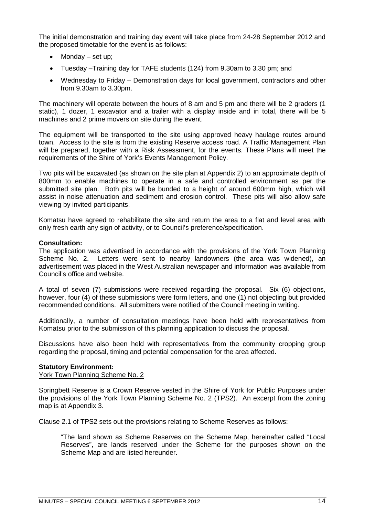The initial demonstration and training day event will take place from 24-28 September 2012 and the proposed timetable for the event is as follows:

- Monday set up;
- Tuesday –Training day for TAFE students (124) from 9.30am to 3.30 pm; and
- Wednesday to Friday Demonstration days for local government, contractors and other from 9.30am to 3.30pm.

The machinery will operate between the hours of 8 am and 5 pm and there will be 2 graders (1 static), 1 dozer, 1 excavator and a trailer with a display inside and in total, there will be 5 machines and 2 prime movers on site during the event.

The equipment will be transported to the site using approved heavy haulage routes around town. Access to the site is from the existing Reserve access road. A Traffic Management Plan will be prepared, together with a Risk Assessment, for the events. These Plans will meet the requirements of the Shire of York's Events Management Policy.

Two pits will be excavated (as shown on the site plan at Appendix 2) to an approximate depth of 800mm to enable machines to operate in a safe and controlled environment as per the submitted site plan. Both pits will be bunded to a height of around 600mm high, which will assist in noise attenuation and sediment and erosion control. These pits will also allow safe viewing by invited participants.

Komatsu have agreed to rehabilitate the site and return the area to a flat and level area with only fresh earth any sign of activity, or to Council's preference/specification.

### **Consultation:**

The application was advertised in accordance with the provisions of the York Town Planning Scheme No. 2. Letters were sent to nearby landowners (the area was widened), an advertisement was placed in the West Australian newspaper and information was available from Council's office and website.

A total of seven (7) submissions were received regarding the proposal. Six (6) objections, however, four (4) of these submissions were form letters, and one (1) not objecting but provided recommended conditions. All submitters were notified of the Council meeting in writing.

Additionally, a number of consultation meetings have been held with representatives from Komatsu prior to the submission of this planning application to discuss the proposal.

Discussions have also been held with representatives from the community cropping group regarding the proposal, timing and potential compensation for the area affected.

### **Statutory Environment:**

York Town Planning Scheme No. 2

Springbett Reserve is a Crown Reserve vested in the Shire of York for Public Purposes under the provisions of the York Town Planning Scheme No. 2 (TPS2). An excerpt from the zoning map is at Appendix 3.

Clause 2.1 of TPS2 sets out the provisions relating to Scheme Reserves as follows:

"The land shown as Scheme Reserves on the Scheme Map, hereinafter called "Local Reserves", are lands reserved under the Scheme for the purposes shown on the Scheme Map and are listed hereunder.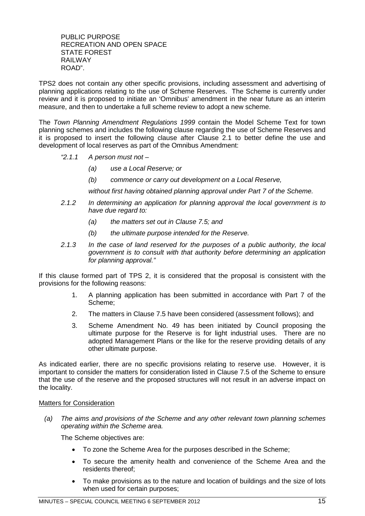PUBLIC PURPOSE RECREATION AND OPEN SPACE STATE FOREST RAILWAY ROAD".

TPS2 does not contain any other specific provisions, including assessment and advertising of planning applications relating to the use of Scheme Reserves. The Scheme is currently under review and it is proposed to initiate an 'Omnibus' amendment in the near future as an interim measure, and then to undertake a full scheme review to adopt a new scheme.

The *Town Planning Amendment Regulations 1999* contain the Model Scheme Text for town planning schemes and includes the following clause regarding the use of Scheme Reserves and it is proposed to insert the following clause after Clause 2.1 to better define the use and development of local reserves as part of the Omnibus Amendment:

- *"2.1.1 A person must not –*
	- *(a) use a Local Reserve; or*
	- *(b) commence or carry out development on a Local Reserve,*

*without first having obtained planning approval under Part 7 of the Scheme.*

- *2.1.2 In determining an application for planning approval the local government is to have due regard to:*
	- *(a) the matters set out in Clause 7.5; and*
	- *(b) the ultimate purpose intended for the Reserve.*
- *2.1.3 In the case of land reserved for the purposes of a public authority, the local government is to consult with that authority before determining an application for planning approval."*

If this clause formed part of TPS 2, it is considered that the proposal is consistent with the provisions for the following reasons:

- 1. A planning application has been submitted in accordance with Part 7 of the Scheme;
- 2. The matters in Clause 7.5 have been considered (assessment follows); and
- 3. Scheme Amendment No. 49 has been initiated by Council proposing the ultimate purpose for the Reserve is for light industrial uses. There are no adopted Management Plans or the like for the reserve providing details of any other ultimate purpose.

As indicated earlier, there are no specific provisions relating to reserve use. However, it is important to consider the matters for consideration listed in Clause 7.5 of the Scheme to ensure that the use of the reserve and the proposed structures will not result in an adverse impact on the locality.

### Matters for Consideration

*(a) The aims and provisions of the Scheme and any other relevant town planning schemes operating within the Scheme area.*

The Scheme objectives are:

- To zone the Scheme Area for the purposes described in the Scheme;
- To secure the amenity health and convenience of the Scheme Area and the residents thereof;
- To make provisions as to the nature and location of buildings and the size of lots when used for certain purposes;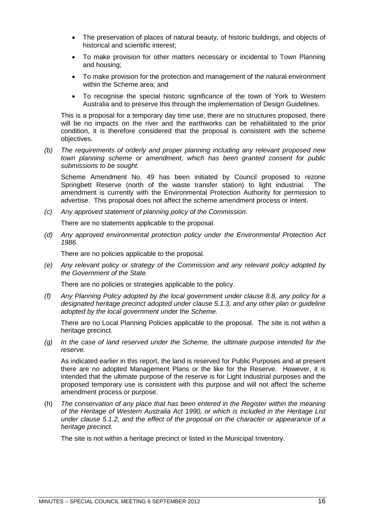- The preservation of places of natural beauty, of historic buildings, and objects of historical and scientific interest;
- To make provision for other matters necessary or incidental to Town Planning and housing;
- To make provision for the protection and management of the natural environment within the Scheme area; and
- To recognise the special historic significance of the town of York to Western Australia and to preserve this through the implementation of Design Guidelines.

This is a proposal for a temporary day time use, there are no structures proposed, there will be no impacts on the river and the earthworks can be rehabilitated to the prior condition, it is therefore considered that the proposal is consistent with the scheme objectives.

*(b) The requirements of orderly and proper planning including any relevant proposed new town planning scheme or amendment, which has been granted consent for public submissions to be sought.*

Scheme Amendment No. 49 has been initiated by Council proposed to rezone Springbett Reserve (north of the waste transfer station) to light industrial. The amendment is currently with the Environmental Protection Authority for permission to advertise. This proposal does not affect the scheme amendment process or intent.

*(c) Any approved statement of planning policy of the Commission.*

There are no statements applicable to the proposal.

*(d) Any approved environmental protection policy under the Environmental Protection Act 1986.*

There are no policies applicable to the proposal.

*(e) Any relevant policy or strategy of the Commission and any relevant policy adopted by the Government of the State.*

There are no policies or strategies applicable to the policy.

*(f) Any Planning Policy adopted by the local government under clause 8.8, any policy for a designated heritage precinct adopted under clause 5.1.3, and any other plan or guideline adopted by the local government under the Scheme.*

There are no Local Planning Policies applicable to the proposal. The site is not within a heritage precinct.

*(g) In the case of land reserved under the Scheme, the ultimate purpose intended for the reserve.*

As indicated earlier in this report, the land is reserved for Public Purposes and at present there are no adopted Management Plans or the like for the Reserve. However, it is intended that the ultimate purpose of the reserve is for Light Industrial purposes and the proposed temporary use is consistent with this purpose and will not affect the scheme amendment process or purpose.

(h) *The conservation of any place that has been entered in the Register within the meaning of the Heritage of Western Australia Act 1990, or which is included in the Heritage List under clause 5.1.2, and the effect of the proposal on the character or appearance of a heritage precinct.*

The site is not within a heritage precinct or listed in the Municipal Inventory.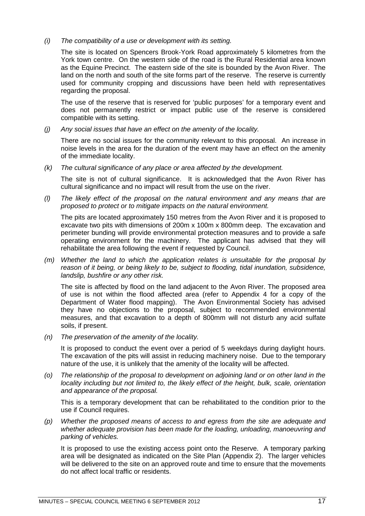*(i) The compatibility of a use or development with its setting.*

The site is located on Spencers Brook-York Road approximately 5 kilometres from the York town centre. On the western side of the road is the Rural Residential area known as the Equine Precinct. The eastern side of the site is bounded by the Avon River. The land on the north and south of the site forms part of the reserve. The reserve is currently used for community cropping and discussions have been held with representatives regarding the proposal.

The use of the reserve that is reserved for 'public purposes' for a temporary event and does not permanently restrict or impact public use of the reserve is considered compatible with its setting.

*(j) Any social issues that have an effect on the amenity of the locality.*

There are no social issues for the community relevant to this proposal. An increase in noise levels in the area for the duration of the event may have an effect on the amenity of the immediate locality.

*(k) The cultural significance of any place or area affected by the development.*

The site is not of cultural significance. It is acknowledged that the Avon River has cultural significance and no impact will result from the use on the river.

*(l) The likely effect of the proposal on the natural environment and any means that are proposed to protect or to mitigate impacts on the natural environment.*

The pits are located approximately 150 metres from the Avon River and it is proposed to excavate two pits with dimensions of 200m x 100m x 800mm deep. The excavation and perimeter bunding will provide environmental protection measures and to provide a safe operating environment for the machinery. The applicant has advised that they will rehabilitate the area following the event if requested by Council.

*(m) Whether the land to which the application relates is unsuitable for the proposal by reason of it being, or being likely to be, subject to flooding, tidal inundation, subsidence, landslip, bushfire or any other risk.*

The site is affected by flood on the land adjacent to the Avon River. The proposed area of use is not within the flood affected area (refer to Appendix 4 for a copy of the Department of Water flood mapping). The Avon Environmental Society has advised they have no objections to the proposal, subject to recommended environmental measures, and that excavation to a depth of 800mm will not disturb any acid sulfate soils, if present.

*(n) The preservation of the amenity of the locality.*

It is proposed to conduct the event over a period of 5 weekdays during daylight hours. The excavation of the pits will assist in reducing machinery noise. Due to the temporary nature of the use, it is unlikely that the amenity of the locality will be affected.

*(o) The relationship of the proposal to development on adjoining land or on other land in the locality including but not limited to, the likely effect of the height, bulk, scale, orientation and appearance of the proposal.*

This is a temporary development that can be rehabilitated to the condition prior to the use if Council requires.

*(p) Whether the proposed means of access to and egress from the site are adequate and whether adequate provision has been made for the loading, unloading, manoeuvring and parking of vehicles.*

It is proposed to use the existing access point onto the Reserve. A temporary parking area will be designated as indicated on the Site Plan (Appendix 2). The larger vehicles will be delivered to the site on an approved route and time to ensure that the movements do not affect local traffic or residents.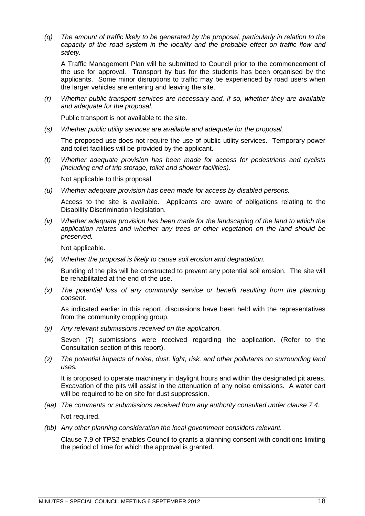*(q) The amount of traffic likely to be generated by the proposal, particularly in relation to the capacity of the road system in the locality and the probable effect on traffic flow and safety.*

A Traffic Management Plan will be submitted to Council prior to the commencement of the use for approval. Transport by bus for the students has been organised by the applicants. Some minor disruptions to traffic may be experienced by road users when the larger vehicles are entering and leaving the site.

*(r) Whether public transport services are necessary and, if so, whether they are available and adequate for the proposal.*

Public transport is not available to the site.

*(s) Whether public utility services are available and adequate for the proposal.*

The proposed use does not require the use of public utility services. Temporary power and toilet facilities will be provided by the applicant.

*(t) Whether adequate provision has been made for access for pedestrians and cyclists (including end of trip storage, toilet and shower facilities).*

Not applicable to this proposal.

*(u) Whether adequate provision has been made for access by disabled persons.*

Access to the site is available. Applicants are aware of obligations relating to the Disability Discrimination legislation.

*(v) Whether adequate provision has been made for the landscaping of the land to which the application relates and whether any trees or other vegetation on the land should be preserved.*

Not applicable.

*(w) Whether the proposal is likely to cause soil erosion and degradation.*

Bunding of the pits will be constructed to prevent any potential soil erosion. The site will be rehabilitated at the end of the use.

*(x) The potential loss of any community service or benefit resulting from the planning consent.*

As indicated earlier in this report, discussions have been held with the representatives from the community cropping group.

*(y) Any relevant submissions received on the application.*

Seven (7) submissions were received regarding the application. (Refer to the Consultation section of this report).

*(z) The potential impacts of noise, dust, light, risk, and other pollutants on surrounding land uses.*

It is proposed to operate machinery in daylight hours and within the designated pit areas. Excavation of the pits will assist in the attenuation of any noise emissions. A water cart will be required to be on site for dust suppression.

- *(aa) The comments or submissions received from any authority consulted under clause 7.4.* Not required.
- *(bb) Any other planning consideration the local government considers relevant.*

Clause 7.9 of TPS2 enables Council to grants a planning consent with conditions limiting the period of time for which the approval is granted.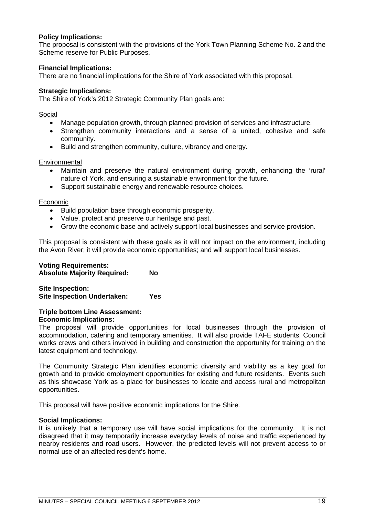### **Policy Implications:**

The proposal is consistent with the provisions of the York Town Planning Scheme No. 2 and the Scheme reserve for Public Purposes.

### **Financial Implications:**

There are no financial implications for the Shire of York associated with this proposal.

### **Strategic Implications:**

The Shire of York's 2012 Strategic Community Plan goals are:

### Social

- Manage population growth, through planned provision of services and infrastructure.
- Strengthen community interactions and a sense of a united, cohesive and safe community.
- Build and strengthen community, culture, vibrancy and energy.

### **Environmental**

- Maintain and preserve the natural environment during growth, enhancing the 'rural' nature of York, and ensuring a sustainable environment for the future.
- Support sustainable energy and renewable resource choices.

### Economic

- Build population base through economic prosperity.
- Value, protect and preserve our heritage and past.
- Grow the economic base and actively support local businesses and service provision.

This proposal is consistent with these goals as it will not impact on the environment, including the Avon River; it will provide economic opportunities; and will support local businesses.

### **Voting Requirements:**

**Absolute Majority Required: No**

**Site Inspection: Site Inspection Undertaken: Yes**

### **Triple bottom Line Assessment:**

### **Economic Implications:**

The proposal will provide opportunities for local businesses through the provision of accommodation, catering and temporary amenities. It will also provide TAFE students, Council works crews and others involved in building and construction the opportunity for training on the latest equipment and technology.

The Community Strategic Plan identifies economic diversity and viability as a key goal for growth and to provide employment opportunities for existing and future residents. Events such as this showcase York as a place for businesses to locate and access rural and metropolitan opportunities.

This proposal will have positive economic implications for the Shire.

### **Social Implications:**

It is unlikely that a temporary use will have social implications for the community. It is not disagreed that it may temporarily increase everyday levels of noise and traffic experienced by nearby residents and road users. However, the predicted levels will not prevent access to or normal use of an affected resident's home.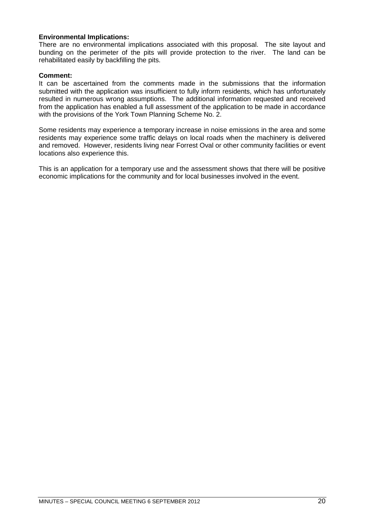### **Environmental Implications:**

There are no environmental implications associated with this proposal. The site layout and bunding on the perimeter of the pits will provide protection to the river. The land can be rehabilitated easily by backfilling the pits.

### **Comment:**

It can be ascertained from the comments made in the submissions that the information submitted with the application was insufficient to fully inform residents, which has unfortunately resulted in numerous wrong assumptions. The additional information requested and received from the application has enabled a full assessment of the application to be made in accordance with the provisions of the York Town Planning Scheme No. 2.

Some residents may experience a temporary increase in noise emissions in the area and some residents may experience some traffic delays on local roads when the machinery is delivered and removed. However, residents living near Forrest Oval or other community facilities or event locations also experience this.

This is an application for a temporary use and the assessment shows that there will be positive economic implications for the community and for local businesses involved in the event.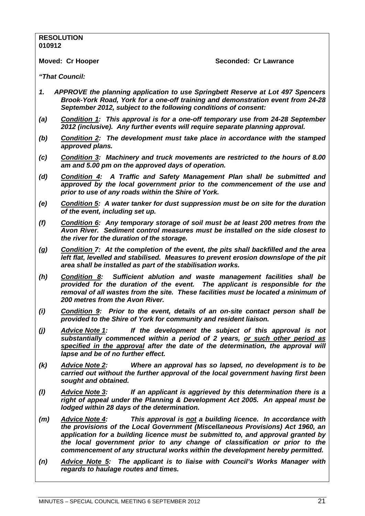### **RESOLUTION 010912**

**Moved: Cr Hooper Seconded: Cr Lawrance**

*"That Council:*

- *1. APPROVE the planning application to use Springbett Reserve at Lot 497 Spencers Brook-York Road, York for a one-off training and demonstration event from 24-28 September 2012, subject to the following conditions of consent:*
- *(a) Condition 1: This approval is for a one-off temporary use from 24-28 September 2012 (inclusive). Any further events will require separate planning approval.*
- *(b) Condition 2: The development must take place in accordance with the stamped approved plans.*
- *(c) Condition 3: Machinery and truck movements are restricted to the hours of 8.00 am and 5.00 pm on the approved days of operation.*
- *(d) Condition 4: A Traffic and Safety Management Plan shall be submitted and approved by the local government prior to the commencement of the use and prior to use of any roads within the Shire of York.*
- *(e) Condition 5: A water tanker for dust suppression must be on site for the duration of the event, including set up.*
- *(f) Condition 6: Any temporary storage of soil must be at least 200 metres from the Avon River. Sediment control measures must be installed on the side closest to the river for the duration of the storage.*
- *(g) Condition 7: At the completion of the event, the pits shall backfilled and the area*  left flat, levelled and stabilised. Measures to prevent erosion downslope of the pit *area shall be installed as part of the stabilisation works.*
- *(h) Condition 8: Sufficient ablution and waste management facilities shall be provided for the duration of the event. The applicant is responsible for the removal of all wastes from the site. These facilities must be located a minimum of 200 metres from the Avon River.*
- *(i) Condition 9: Prior to the event, details of an on-site contact person shall be provided to the Shire of York for community and resident liaison.*
- *(j) Advice Note 1: If the development the subject of this approval is not substantially commenced within a period of 2 years, or such other period as specified in the approval after the date of the determination, the approval will lapse and be of no further effect.*
- *(k) Advice Note 2: Where an approval has so lapsed, no development is to be carried out without the further approval of the local government having first been sought and obtained.*
- *(l) Advice Note 3: If an applicant is aggrieved by this determination there is a right of appeal under the Planning & Development Act 2005. An appeal must be lodged within 28 days of the determination.*
- *(m) Advice Note 4: This approval is not a building licence. In accordance with the provisions of the Local Government (Miscellaneous Provisions) Act 1960, an application for a building licence must be submitted to, and approval granted by the local government prior to any change of classification or prior to the commencement of any structural works within the development hereby permitted.*
- *(n) Advice Note 5: The applicant is to liaise with Council's Works Manager with regards to haulage routes and times.*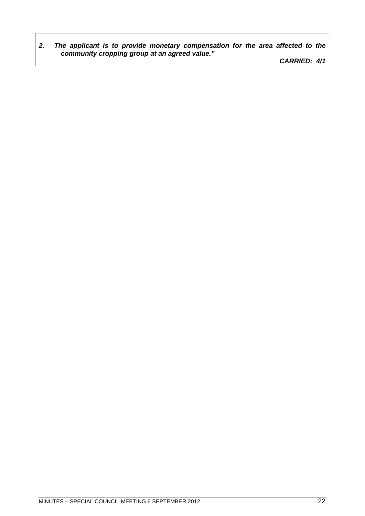*2. The applicant is to provide monetary compensation for the area affected to the community cropping group at an agreed value."*

*CARRIED: 4/1*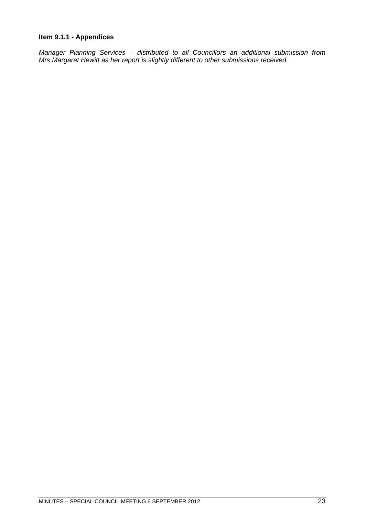### <span id="page-22-0"></span>**Item 9.1.1 - Appendices**

*Manager Planning Services – distributed to all Councillors an additional submission from Mrs Margaret Hewitt as her report is slightly different to other submissions received.*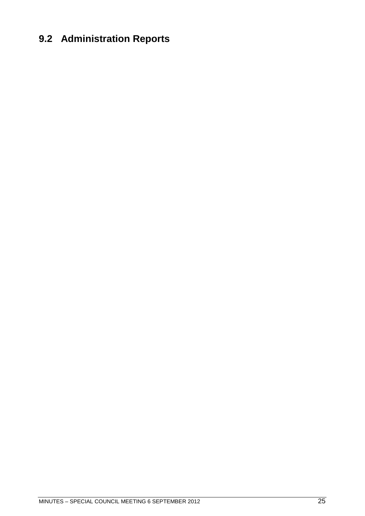# <span id="page-24-0"></span>**9.2 Administration Reports**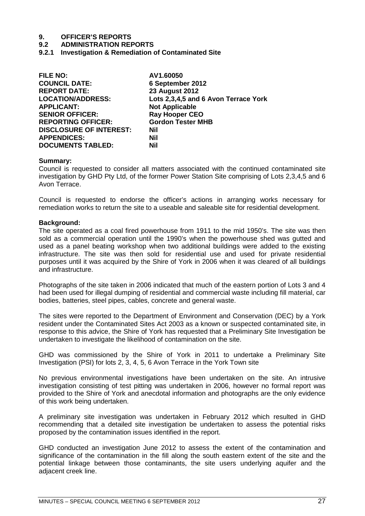# **9. OFFICER'S REPORTS**

### **9.2 ADMINISTRATION REPORTS**

<span id="page-26-0"></span>**9.2.1 Investigation & Remediation of Contaminated Site**

| <b>FILE NO:</b>                | AV1.60050                            |
|--------------------------------|--------------------------------------|
| <b>COUNCIL DATE:</b>           | 6 September 2012                     |
| <b>REPORT DATE:</b>            | <b>23 August 2012</b>                |
| <b>LOCATION/ADDRESS:</b>       | Lots 2,3,4,5 and 6 Avon Terrace York |
| <b>APPLICANT:</b>              | <b>Not Applicable</b>                |
| <b>SENIOR OFFICER:</b>         | <b>Ray Hooper CEO</b>                |
| <b>REPORTING OFFICER:</b>      | <b>Gordon Tester MHB</b>             |
| <b>DISCLOSURE OF INTEREST:</b> | Nil                                  |
| <b>APPENDICES:</b>             | Nil                                  |
| <b>DOCUMENTS TABLED:</b>       | Nil                                  |

### **Summary:**

Council is requested to consider all matters associated with the continued contaminated site investigation by GHD Pty Ltd, of the former Power Station Site comprising of Lots 2,3,4,5 and 6 Avon Terrace.

Council is requested to endorse the officer's actions in arranging works necessary for remediation works to return the site to a useable and saleable site for residential development.

### **Background:**

The site operated as a coal fired powerhouse from 1911 to the mid 1950's. The site was then sold as a commercial operation until the 1990's when the powerhouse shed was gutted and used as a panel beating workshop when two additional buildings were added to the existing infrastructure. The site was then sold for residential use and used for private residential purposes until it was acquired by the Shire of York in 2006 when it was cleared of all buildings and infrastructure.

Photographs of the site taken in 2006 indicated that much of the eastern portion of Lots 3 and 4 had been used for illegal dumping of residential and commercial waste including fill material, car bodies, batteries, steel pipes, cables, concrete and general waste.

The sites were reported to the Department of Environment and Conservation (DEC) by a York resident under the Contaminated Sites Act 2003 as a known or suspected contaminated site, in response to this advice, the Shire of York has requested that a Preliminary Site Investigation be undertaken to investigate the likelihood of contamination on the site.

GHD was commissioned by the Shire of York in 2011 to undertake a Preliminary Site Investigation (PSI) for lots 2, 3, 4, 5, 6 Avon Terrace in the York Town site

No previous environmental investigations have been undertaken on the site. An intrusive investigation consisting of test pitting was undertaken in 2006, however no formal report was provided to the Shire of York and anecdotal information and photographs are the only evidence of this work being undertaken.

A preliminary site investigation was undertaken in February 2012 which resulted in GHD recommending that a detailed site investigation be undertaken to assess the potential risks proposed by the contamination issues identified in the report.

GHD conducted an investigation June 2012 to assess the extent of the contamination and significance of the contamination in the fill along the south eastern extent of the site and the potential linkage between those contaminants, the site users underlying aquifer and the adjacent creek line.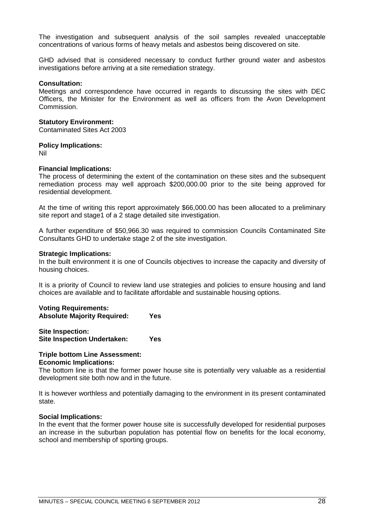The investigation and subsequent analysis of the soil samples revealed unacceptable concentrations of various forms of heavy metals and asbestos being discovered on site.

GHD advised that is considered necessary to conduct further ground water and asbestos investigations before arriving at a site remediation strategy.

### **Consultation:**

Meetings and correspondence have occurred in regards to discussing the sites with DEC Officers, the Minister for the Environment as well as officers from the Avon Development Commission.

### **Statutory Environment:**

Contaminated Sites Act 2003

### **Policy Implications:**

Nil

### **Financial Implications:**

The process of determining the extent of the contamination on these sites and the subsequent remediation process may well approach \$200,000.00 prior to the site being approved for residential development.

At the time of writing this report approximately \$66,000.00 has been allocated to a preliminary site report and stage1 of a 2 stage detailed site investigation.

A further expenditure of \$50,966.30 was required to commission Councils Contaminated Site Consultants GHD to undertake stage 2 of the site investigation.

### **Strategic Implications:**

In the built environment it is one of Councils objectives to increase the capacity and diversity of housing choices.

It is a priority of Council to review land use strategies and policies to ensure housing and land choices are available and to facilitate affordable and sustainable housing options.

| <b>Voting Requirements:</b>        |     |
|------------------------------------|-----|
| <b>Absolute Majority Required:</b> | Yes |

**Site Inspection: Site Inspection Undertaken: Yes**

### **Triple bottom Line Assessment: Economic Implications:**

The bottom line is that the former power house site is potentially very valuable as a residential development site both now and in the future.

It is however worthless and potentially damaging to the environment in its present contaminated state.

### **Social Implications:**

In the event that the former power house site is successfully developed for residential purposes an increase in the suburban population has potential flow on benefits for the local economy, school and membership of sporting groups.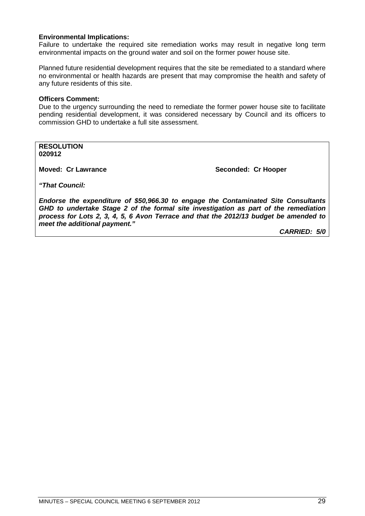### **Environmental Implications:**

Failure to undertake the required site remediation works may result in negative long term environmental impacts on the ground water and soil on the former power house site.

Planned future residential development requires that the site be remediated to a standard where no environmental or health hazards are present that may compromise the health and safety of any future residents of this site.

### **Officers Comment:**

Due to the urgency surrounding the need to remediate the former power house site to facilitate pending residential development, it was considered necessary by Council and its officers to commission GHD to undertake a full site assessment.

**RESOLUTION 020912**

**Moved: Cr Lawrance Seconded: Cr Hooper** 

*"That Council:*

*Endorse the expenditure of \$50,966.30 to engage the Contaminated Site Consultants GHD to undertake Stage 2 of the formal site investigation as part of the remediation process for Lots 2, 3, 4, 5, 6 Avon Terrace and that the 2012/13 budget be amended to meet the additional payment."*

*CARRIED: 5/0*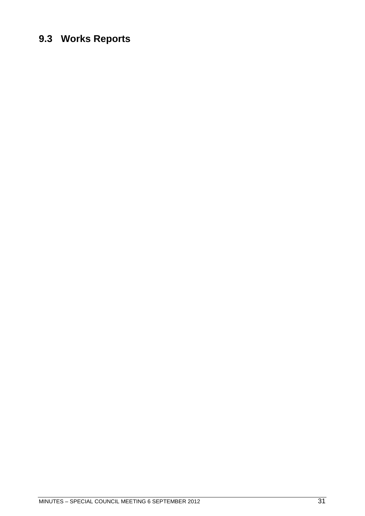# <span id="page-30-0"></span>**9.3 Works Reports**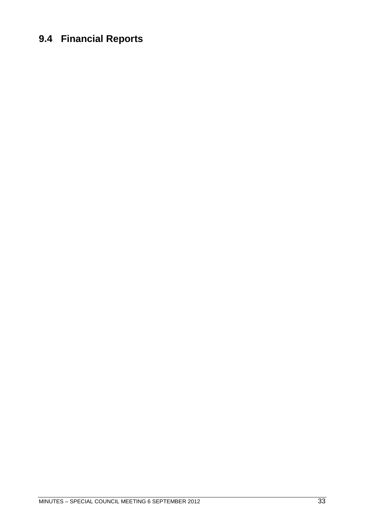# <span id="page-32-0"></span>**9.4 Financial Reports**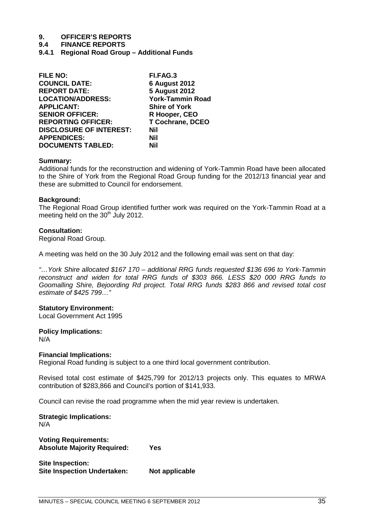# **9. OFFICER'S REPORTS**

**9.4 FINANCE REPORTS**

<span id="page-34-0"></span>**9.4.1 Regional Road Group – Additional Funds**

| <b>FILE NO:</b>                | FI.FAG.3                |
|--------------------------------|-------------------------|
| <b>COUNCIL DATE:</b>           | <b>6 August 2012</b>    |
| <b>REPORT DATE:</b>            | <b>5 August 2012</b>    |
| <b>LOCATION/ADDRESS:</b>       | <b>York-Tammin Road</b> |
| <b>APPLICANT:</b>              | <b>Shire of York</b>    |
| <b>SENIOR OFFICER:</b>         | R Hooper, CEO           |
| <b>REPORTING OFFICER:</b>      | <b>T Cochrane, DCEO</b> |
| <b>DISCLOSURE OF INTEREST:</b> | <b>Nil</b>              |
| <b>APPENDICES:</b>             | <b>Nil</b>              |
| <b>DOCUMENTS TABLED:</b>       | Nil                     |

### **Summary:**

Additional funds for the reconstruction and widening of York-Tammin Road have been allocated to the Shire of York from the Regional Road Group funding for the 2012/13 financial year and these are submitted to Council for endorsement.

### **Background:**

The Regional Road Group identified further work was required on the York-Tammin Road at a meeting held on the  $30<sup>th</sup>$  July 2012.

### **Consultation:**

Regional Road Group.

A meeting was held on the 30 July 2012 and the following email was sent on that day:

*"…York Shire allocated \$167 170 – additional RRG funds requested \$136 696 to York-Tammin reconstruct and widen for total RRG funds of \$303 866. LESS \$20 000 RRG funds to Goomalling Shire, Bejoording Rd project. Total RRG funds \$283 866 and revised total cost estimate of \$425 799…"*

### **Statutory Environment:**

Local Government Act 1995

### **Policy Implications:**

N/A

### **Financial Implications:**

Regional Road funding is subject to a one third local government contribution.

Revised total cost estimate of \$425,799 for 2012/13 projects only. This equates to MRWA contribution of \$283,866 and Council's portion of \$141,933.

Council can revise the road programme when the mid year review is undertaken.

**Strategic Implications:** N/A

**Voting Requirements: Absolute Majority Required: Yes**

**Site Inspection: Site Inspection Undertaken: Not applicable**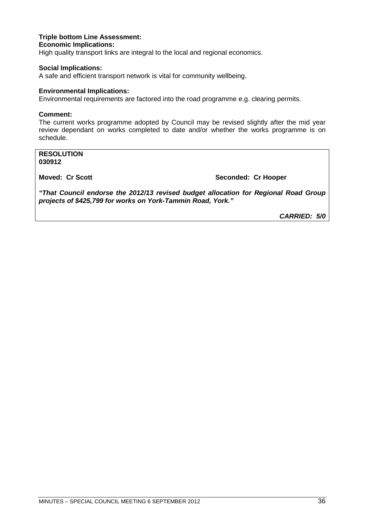### **Triple bottom Line Assessment: Economic Implications:**

High quality transport links are integral to the local and regional economics.

### **Social Implications:**

A safe and efficient transport network is vital for community wellbeing.

### **Environmental Implications:**

Environmental requirements are factored into the road programme e.g. clearing permits.

### **Comment:**

The current works programme adopted by Council may be revised slightly after the mid year review dependant on works completed to date and/or whether the works programme is on schedule.

**RESOLUTION 030912**

**Moved: Cr Scott Seconded: Cr Hooper**

*"That Council endorse the 2012/13 revised budget allocation for Regional Road Group projects of \$425,799 for works on York-Tammin Road, York."*

*CARRIED: 5/0*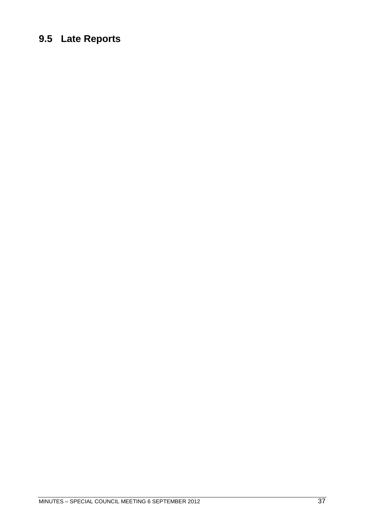# <span id="page-36-0"></span>**9.5 Late Reports**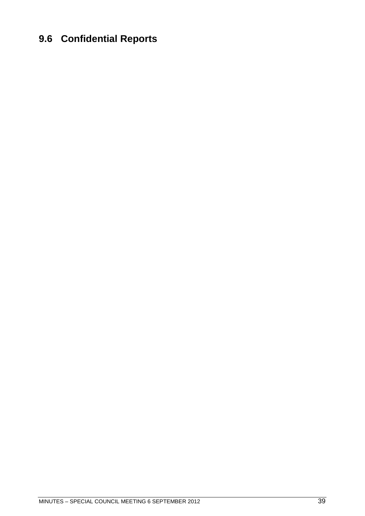# <span id="page-38-0"></span>**9.6 Confidential Reports**